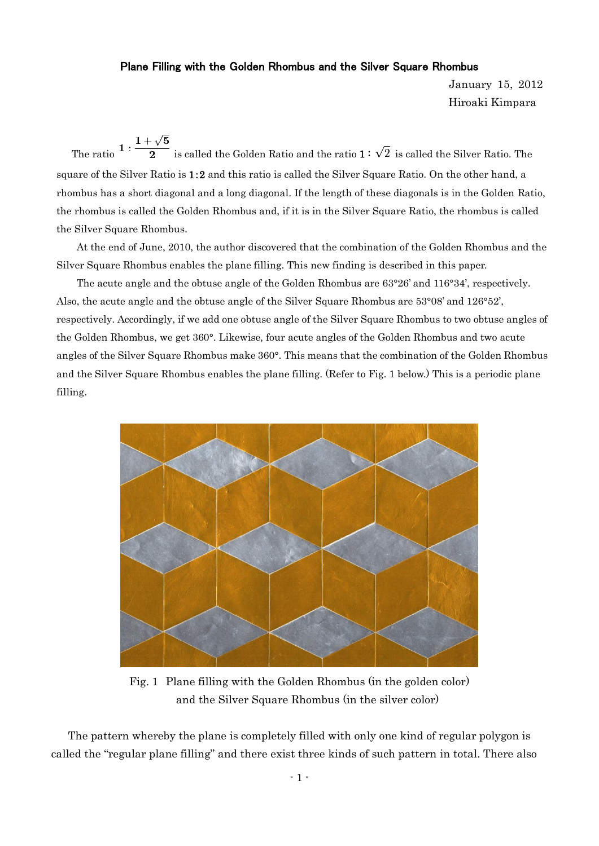## Plane Filling with the Golden Rhombus and the Silver Square Rhombus

January 15, 2012 Hiroaki Kimpara

The ratio  $1 : \frac{1+\sqrt{5}}{2}$  is called the Golden Ratio and the ratio  $1 : \sqrt{2}$  is called the Silver Ratio. The square of the Silver Ratio is 1:2 and this ratio is called the Silver Square Ratio. On the other hand, a rhombus has a short diagonal and a long diagonal. If the length of these diagonals is in the Golden Ratio, the rhombus is called the Golden Rhombus and, if it is in the Silver Square Ratio, the rhombus is called the Silver Square Rhombus.

At the end of June, 2010, the author discovered that the combination of the Golden Rhombus and the Silver Square Rhombus enables the plane filling. This new finding is described in this paper.

The acute angle and the obtuse angle of the Golden Rhombus are 63°26' and 116°34', respectively. Also, the acute angle and the obtuse angle of the Silver Square Rhombus are 53°08' and 126°52', respectively. Accordingly, if we add one obtuse angle of the Silver Square Rhombus to two obtuse angles of the Golden Rhombus, we get 360°. Likewise, four acute angles of the Golden Rhombus and two acute angles of the Silver Square Rhombus make 360°. This means that the combination of the Golden Rhombus and the Silver Square Rhombus enables the plane filling. (Refer to Fig. 1 below.) This is a periodic plane filling.



Fig. 1 Plane filling with the Golden Rhombus (in the golden color) and the Silver Square Rhombus (in the silver color)

The pattern whereby the plane is completely filled with only one kind of regular polygon is called the "regular plane filling" and there exist three kinds of such pattern in total. There also